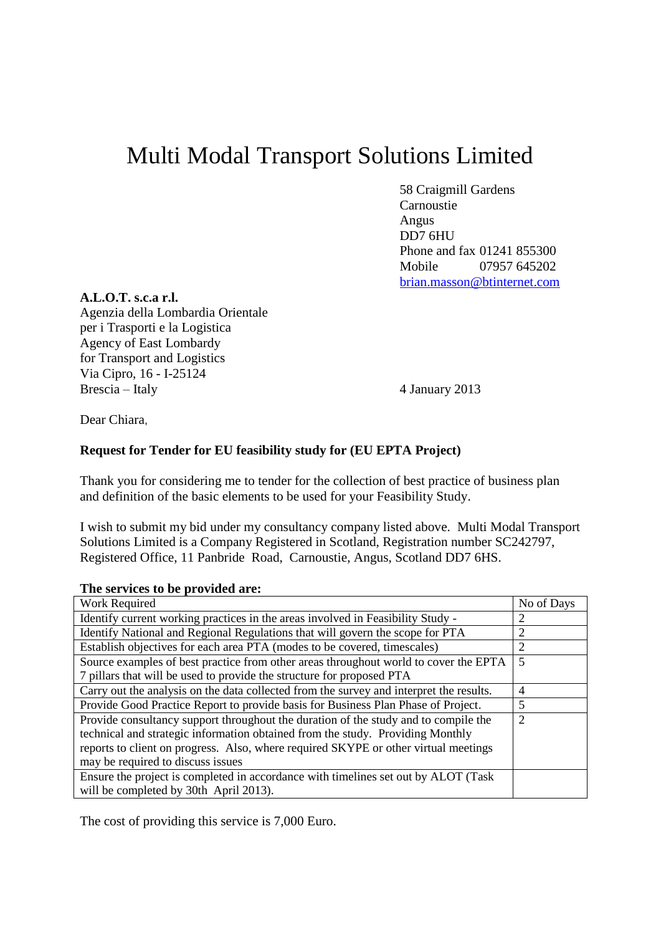## Multi Modal Transport Solutions Limited

58 Craigmill Gardens Carnoustie Angus DD7 6HU Phone and fax 01241 855300 Mobile 07957 645202 [brian.masson@btinternet.com](mailto:brian.masson@btinternet.com)

## **A.L.O.T. s.c.a r.l.**

Agenzia della Lombardia Orientale per i Trasporti e la Logistica Agency of East Lombardy for Transport and Logistics Via Cipro, 16 - I-25124 Brescia – Italy 4 January 2013

Dear Chiara,

## **Request for Tender for EU feasibility study for (EU EPTA Project)**

Thank you for considering me to tender for the collection of best practice of business plan and definition of the basic elements to be used for your Feasibility Study.

I wish to submit my bid under my consultancy company listed above. Multi Modal Transport Solutions Limited is a Company Registered in Scotland, Registration number SC242797, Registered Office, 11 Panbride Road, Carnoustie, Angus, Scotland DD7 6HS.

## **The services to be provided are:**

| Work Required                                                                           | No of Days |
|-----------------------------------------------------------------------------------------|------------|
| Identify current working practices in the areas involved in Feasibility Study -         |            |
| Identify National and Regional Regulations that will govern the scope for PTA           |            |
| Establish objectives for each area PTA (modes to be covered, timescales)                |            |
| Source examples of best practice from other areas throughout world to cover the EPTA    | 5          |
| 7 pillars that will be used to provide the structure for proposed PTA                   |            |
| Carry out the analysis on the data collected from the survey and interpret the results. | 4          |
| Provide Good Practice Report to provide basis for Business Plan Phase of Project.       | 5          |
| Provide consultancy support throughout the duration of the study and to compile the     |            |
| technical and strategic information obtained from the study. Providing Monthly          |            |
| reports to client on progress. Also, where required SKYPE or other virtual meetings     |            |
| may be required to discuss issues                                                       |            |
| Ensure the project is completed in accordance with timelines set out by ALOT (Task      |            |
| will be completed by 30th April 2013).                                                  |            |

The cost of providing this service is 7,000 Euro.